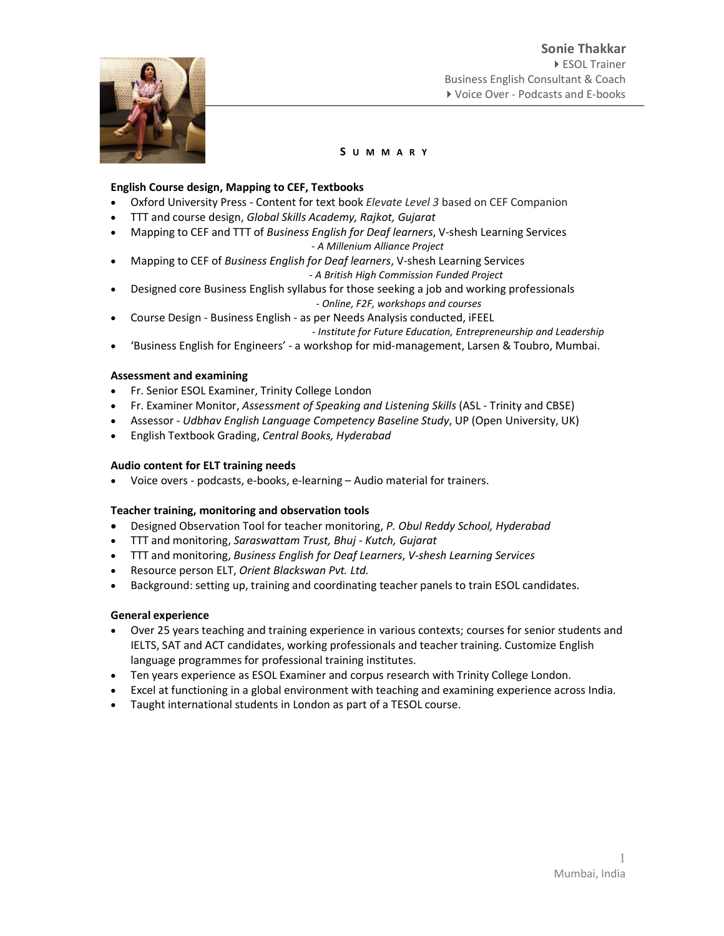

# English Course design, Mapping to CEF, Textbooks

- Oxford University Press Content for text book Elevate Level 3 based on CEF Companion
- TTT and course design, Global Skills Academy, Rajkot, Gujarat
- Mapping to CEF and TTT of Business English for Deaf learners, V-shesh Learning Services - A Millenium Alliance Project
- Mapping to CEF of Business English for Deaf learners, V-shesh Learning Services - A British High Commission Funded Project
- Designed core Business English syllabus for those seeking a job and working professionals - Online, F2F, workshops and courses
- Course Design Business English as per Needs Analysis conducted, iFEEL

- Institute for Future Education, Entrepreneurship and Leadership

'Business English for Engineers' - a workshop for mid-management, Larsen & Toubro, Mumbai.

# Assessment and examining

- Fr. Senior ESOL Examiner, Trinity College London
- Fr. Examiner Monitor, Assessment of Speaking and Listening Skills (ASL Trinity and CBSE)
- Assessor Udbhav English Language Competency Baseline Study, UP (Open University, UK)
- **English Textbook Grading, Central Books, Hyderabad**

### Audio content for ELT training needs

Voice overs - podcasts, e-books, e-learning – Audio material for trainers.

# Teacher training, monitoring and observation tools

- Designed Observation Tool for teacher monitoring, P. Obul Reddy School, Hyderabad
- TTT and monitoring, Saraswattam Trust, Bhuj Kutch, Gujarat
- TTT and monitoring, Business English for Deaf Learners, V-shesh Learning Services
- Resource person ELT, Orient Blackswan Pvt. Ltd.
- Background: setting up, training and coordinating teacher panels to train ESOL candidates.

#### General experience

- Over 25 years teaching and training experience in various contexts; courses for senior students and IELTS, SAT and ACT candidates, working professionals and teacher training. Customize English language programmes for professional training institutes.
- Ten years experience as ESOL Examiner and corpus research with Trinity College London.
- Excel at functioning in a global environment with teaching and examining experience across India.
- Taught international students in London as part of a TESOL course.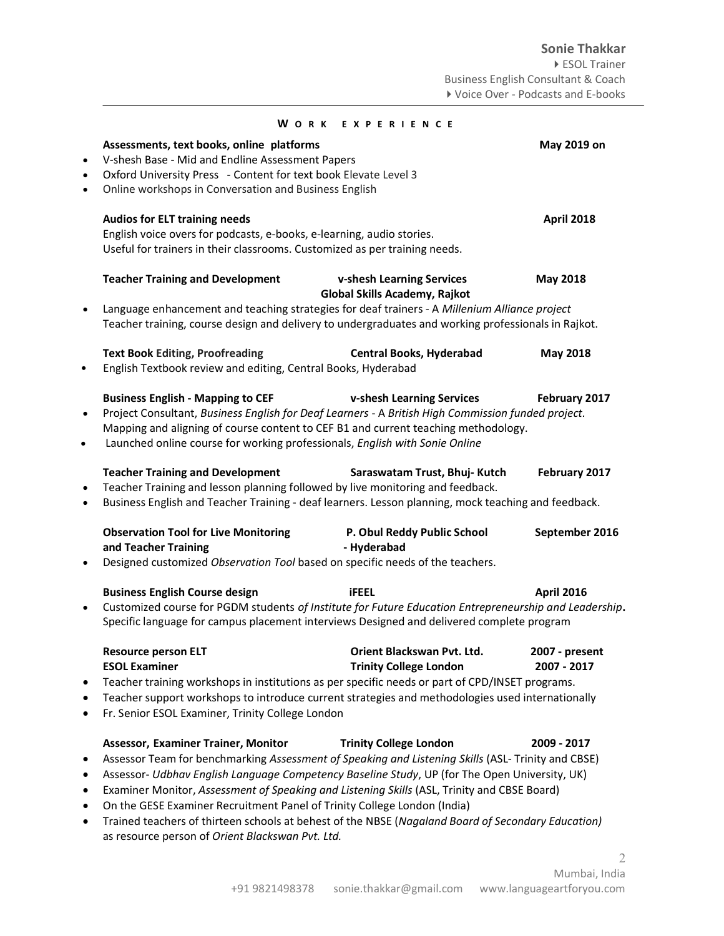|                        |                                                                                                                                                                                                                                                                                                                                                                                                                                                                                                                                                                                                                                       | WORK EXPERIENCE                                             |                               |
|------------------------|---------------------------------------------------------------------------------------------------------------------------------------------------------------------------------------------------------------------------------------------------------------------------------------------------------------------------------------------------------------------------------------------------------------------------------------------------------------------------------------------------------------------------------------------------------------------------------------------------------------------------------------|-------------------------------------------------------------|-------------------------------|
| $\bullet$<br>$\bullet$ | Assessments, text books, online platforms<br>V-shesh Base - Mid and Endline Assessment Papers<br>Oxford University Press - Content for text book Elevate Level 3<br>Online workshops in Conversation and Business English                                                                                                                                                                                                                                                                                                                                                                                                             | May 2019 on                                                 |                               |
|                        | <b>Audios for ELT training needs</b><br>English voice overs for podcasts, e-books, e-learning, audio stories.<br>Useful for trainers in their classrooms. Customized as per training needs.                                                                                                                                                                                                                                                                                                                                                                                                                                           |                                                             | <b>April 2018</b>             |
| $\bullet$              | <b>Teacher Training and Development</b><br>Language enhancement and teaching strategies for deaf trainers - A Millenium Alliance project<br>Teacher training, course design and delivery to undergraduates and working professionals in Rajkot.                                                                                                                                                                                                                                                                                                                                                                                       | v-shesh Learning Services<br>Global Skills Academy, Rajkot  | May 2018                      |
| $\bullet$              | <b>Text Book Editing, Proofreading</b><br>English Textbook review and editing, Central Books, Hyderabad                                                                                                                                                                                                                                                                                                                                                                                                                                                                                                                               | <b>Central Books, Hyderabad</b>                             | <b>May 2018</b>               |
| $\bullet$<br>$\bullet$ | <b>Business English - Mapping to CEF</b><br>v-shesh Learning Services<br>February 2017<br>Project Consultant, Business English for Deaf Learners - A British High Commission funded project.<br>Mapping and aligning of course content to CEF B1 and current teaching methodology.<br>Launched online course for working professionals, English with Sonie Online                                                                                                                                                                                                                                                                     |                                                             |                               |
| $\bullet$<br>$\bullet$ | <b>Teacher Training and Development</b><br>February 2017<br>Saraswatam Trust, Bhuj- Kutch<br>Teacher Training and lesson planning followed by live monitoring and feedback.<br>Business English and Teacher Training - deaf learners. Lesson planning, mock teaching and feedback.                                                                                                                                                                                                                                                                                                                                                    |                                                             |                               |
|                        | <b>Observation Tool for Live Monitoring</b><br>and Teacher Training<br>Designed customized Observation Tool based on specific needs of the teachers.                                                                                                                                                                                                                                                                                                                                                                                                                                                                                  | P. Obul Reddy Public School<br>- Hyderabad                  | September 2016                |
| $\bullet$              | <b>Business English Course design</b><br><b>April 2016</b><br><b>iFEEL</b><br>Customized course for PGDM students of Institute for Future Education Entrepreneurship and Leadership.<br>Specific language for campus placement interviews Designed and delivered complete program                                                                                                                                                                                                                                                                                                                                                     |                                                             |                               |
| ٠<br>٠                 | <b>Resource person ELT</b><br><b>ESOL Examiner</b><br>Teacher training workshops in institutions as per specific needs or part of CPD/INSET programs.<br>Teacher support workshops to introduce current strategies and methodologies used internationally<br>Fr. Senior ESOL Examiner, Trinity College London                                                                                                                                                                                                                                                                                                                         | Orient Blackswan Pvt. Ltd.<br><b>Trinity College London</b> | 2007 - present<br>2007 - 2017 |
| ٠<br>٠<br>٠<br>٠       | <b>Assessor, Examiner Trainer, Monitor</b><br><b>Trinity College London</b><br>2009 - 2017<br>Assessor Team for benchmarking Assessment of Speaking and Listening Skills (ASL-Trinity and CBSE)<br>Assessor- Udbhav English Language Competency Baseline Study, UP (for The Open University, UK)<br>Examiner Monitor, Assessment of Speaking and Listening Skills (ASL, Trinity and CBSE Board)<br>On the GESE Examiner Recruitment Panel of Trinity College London (India)<br>Trained teachers of thirteen schools at behest of the NBSE (Nagaland Board of Secondary Education)<br>as resource person of Orient Blackswan Pvt. Ltd. |                                                             |                               |